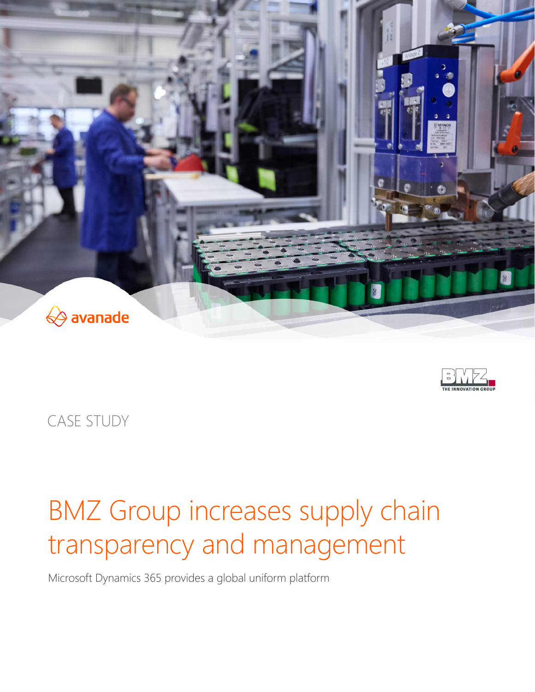



CASE STUDY

# BMZ Group increases supply chain transparency and management

Microsoft Dynamics 365 provides a global uniform platform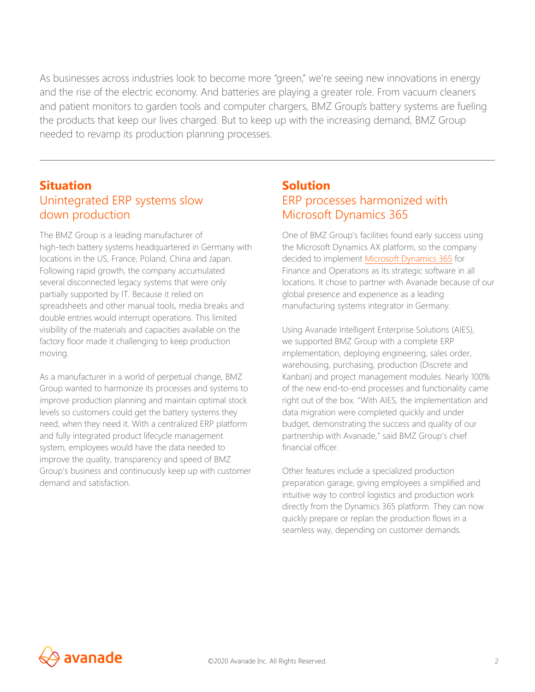As businesses across industries look to become more "green," we're seeing new innovations in energy and the rise of the electric economy. And batteries are playing a greater role. From vacuum cleaners and patient monitors to garden tools and computer chargers, BMZ Group's battery systems are fueling the products that keep our lives charged. But to keep up with the increasing demand, BMZ Group needed to revamp its production planning processes.

## **Situation**  Unintegrated ERP systems slow down production

The BMZ Group is a leading manufacturer of high-tech battery systems headquartered in Germany with locations in the US, France, Poland, China and Japan. Following rapid growth, the company accumulated several disconnected legacy systems that were only partially supported by IT. Because it relied on spreadsheets and other manual tools, media breaks and double entries would interrupt operations. This limited visibility of the materials and capacities available on the factory floor made it challenging to keep production moving.

As a manufacturer in a world of perpetual change, BMZ Group wanted to harmonize its processes and systems to improve production planning and maintain optimal stock levels so customers could get the battery systems they need, when they need it. With a centralized ERP platform and fully integrated product lifecycle management system, employees would have the data needed to improve the quality, transparency and speed of BMZ Group's business and continuously keep up with customer demand and satisfaction.

# **Solution**  ERP processes harmonized with Microsoft Dynamics 365

One of BMZ Group's facilities found early success using the Microsoft Dynamics AX platform, so the company decided to implement [Microsoft Dynamics 365](https://www.avanade.com/technologies/microsoft-dynamics-365) for Finance and Operations as its strategic software in all locations. It chose to partner with Avanade because of our global presence and experience as a leading manufacturing systems integrator in Germany.

Using Avanade Intelligent Enterprise Solutions (AIES), we supported BMZ Group with a complete ERP implementation, deploying engineering, sales order, warehousing, purchasing, production (Discrete and Kanban) and project management modules. Nearly 100% of the new end-to-end processes and functionality came right out of the box. "With AIES, the implementation and data migration were completed quickly and under budget, demonstrating the success and quality of our partnership with Avanade," said BMZ Group's chief financial officer.

Other features include a specialized production preparation garage, giving employees a simplified and intuitive way to control logistics and production work directly from the Dynamics 365 platform. They can now quickly prepare or replan the production flows in a seamless way, depending on customer demands.

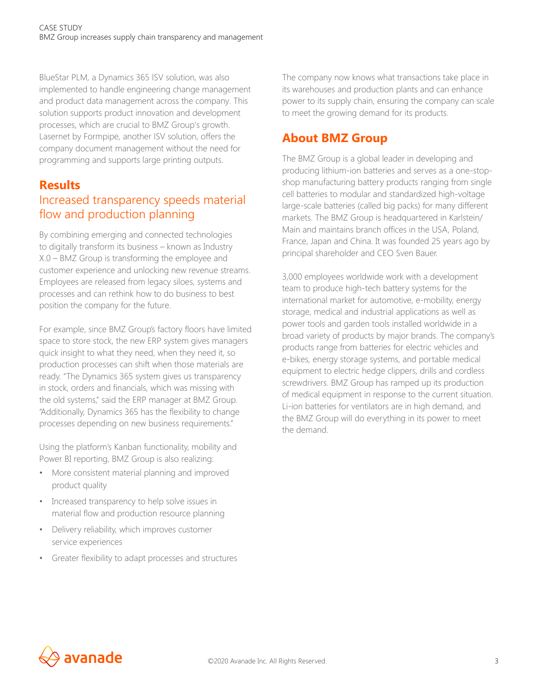BlueStar PLM, a Dynamics 365 ISV solution, was also implemented to handle engineering change management and product data management across the company. This solution supports product innovation and development processes, which are crucial to BMZ Group's growth. Lasernet by Formpipe, another ISV solution, offers the company document management without the need for programming and supports large printing outputs.

### **Results**

# Increased transparency speeds material flow and production planning

By combining emerging and connected technologies to digitally transform its business – known as Industry X.0 – BMZ Group is transforming the employee and customer experience and unlocking new revenue streams. Employees are released from legacy siloes, systems and processes and can rethink how to do business to best position the company for the future.

For example, since BMZ Group's factory floors have limited space to store stock, the new ERP system gives managers quick insight to what they need, when they need it, so production processes can shift when those materials are ready. "The Dynamics 365 system gives us transparency in stock, orders and financials, which was missing with the old systems," said the ERP manager at BMZ Group. "Additionally, Dynamics 365 has the flexibility to change processes depending on new business requirements."

Using the platform's Kanban functionality, mobility and Power BI reporting, BMZ Group is also realizing:

- More consistent material planning and improved product quality
- Increased transparency to help solve issues in material flow and production resource planning
- Delivery reliability, which improves customer service experiences
- Greater flexibility to adapt processes and structures

The company now knows what transactions take place in its warehouses and production plants and can enhance power to its supply chain, ensuring the company can scale to meet the growing demand for its products.

# **About BMZ Group**

The BMZ Group is a global leader in developing and producing lithium-ion batteries and serves as a one-stopshop manufacturing battery products ranging from single cell batteries to modular and standardized high-voltage large-scale batteries (called big packs) for many different markets. The BMZ Group is headquartered in Karlstein/ Main and maintains branch offices in the USA, Poland, France, Japan and China. It was founded 25 years ago by principal shareholder and CEO Sven Bauer.

3,000 employees worldwide work with a development team to produce high-tech battery systems for the international market for automotive, e-mobility, energy storage, medical and industrial applications as well as power tools and garden tools installed worldwide in a broad variety of products by major brands. The company's products range from batteries for electric vehicles and e-bikes, energy storage systems, and portable medical equipment to electric hedge clippers, drills and cordless screwdrivers. BMZ Group has ramped up its production of medical equipment in response to the current situation. Li-ion batteries for ventilators are in high demand, and the BMZ Group will do everything in its power to meet the demand.